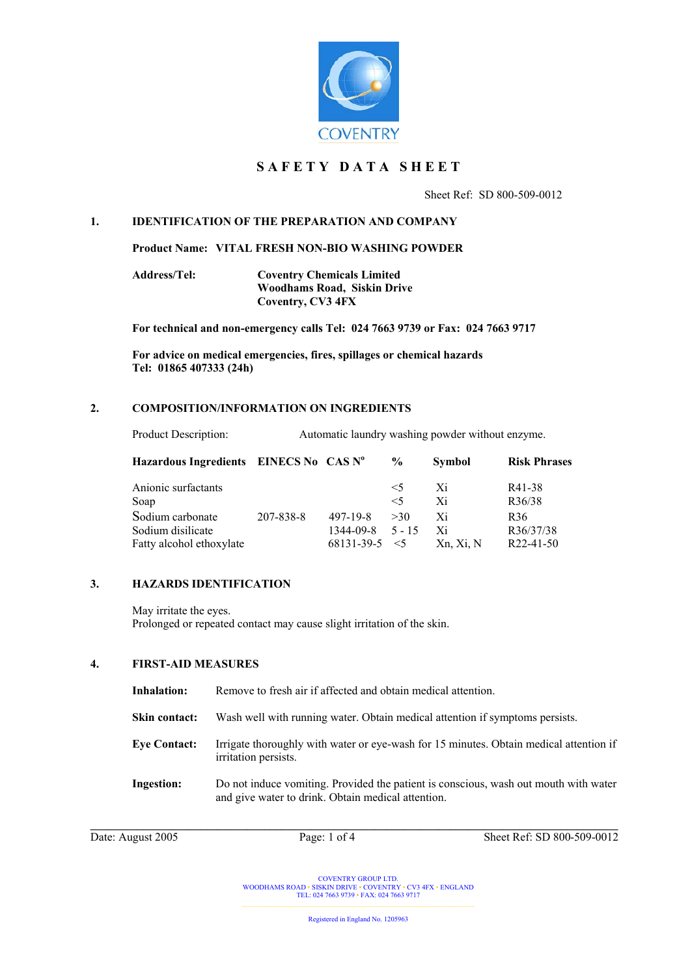

# **S A F E T Y D A T A S H E E T**

Sheet Ref: SD 800-509-0012

# **1. IDENTIFICATION OF THE PREPARATION AND COMPANY**

**Product Name: VITAL FRESH NON-BIO WASHING POWDER** 

**Address/Tel: Coventry Chemicals Limited Woodhams Road, Siskin Drive Coventry, CV3 4FX** 

**For technical and non-emergency calls Tel: 024 7663 9739 or Fax: 024 7663 9717** 

**For advice on medical emergencies, fires, spillages or chemical hazards Tel: 01865 407333 (24h)** 

#### **2. COMPOSITION/INFORMATION ON INGREDIENTS**

| Hazardous Ingredients EINECS No CAS Nº |           |            | $\frac{6}{9}$ | <b>Symbol</b> | <b>Risk Phrases</b> |
|----------------------------------------|-----------|------------|---------------|---------------|---------------------|
| Anionic surfactants                    |           |            | $\leq$ 5      | Xi            | R41-38              |
| Soap                                   |           |            | $\leq 5$      | Xi            | R36/38              |
| Sodium carbonate                       | 207-838-8 | 497-19-8   | >30           | Xi            | R <sub>36</sub>     |
| Sodium disilicate                      |           | 1344-09-8  | $5 - 15$      | Xi            | R36/37/38           |
| Fatty alcohol ethoxylate               |           | 68131-39-5 | $\leq$ 5      | Xn, Xi, N     | $R22-41-50$         |

# **3. HAZARDS IDENTIFICATION**

May irritate the eyes. Prolonged or repeated contact may cause slight irritation of the skin.

#### **4. FIRST-AID MEASURES**

| Inhalation:          | Remove to fresh air if affected and obtain medical attention.                                                                              |
|----------------------|--------------------------------------------------------------------------------------------------------------------------------------------|
| <b>Skin contact:</b> | Wash well with running water. Obtain medical attention if symptoms persists.                                                               |
| <b>Eye Contact:</b>  | Irrigate thoroughly with water or eye-wash for 15 minutes. Obtain medical attention if<br>irritation persists.                             |
| <b>Ingestion:</b>    | Do not induce vomiting. Provided the patient is conscious, wash out mouth with water<br>and give water to drink. Obtain medical attention. |

Date: August 2005 Page: 1 of 4 Sheet Ref: SD 800-509-0012

COVENTRY GROUP LTD. WOODHAMS ROAD ▪ SISKIN DRIVE ▪ COVENTRY ▪ CV3 4FX ▪ ENGLAND TEL: 024 7663 9739 ▪ FAX: 024 7663 9717

Registered in England No. 1205963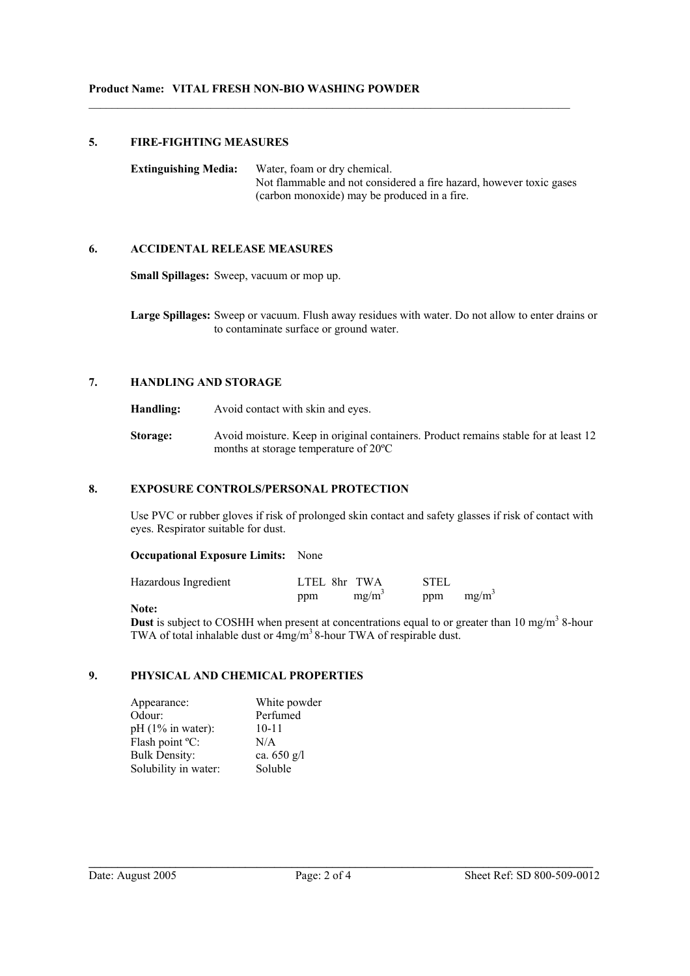# **5. FIRE-FIGHTING MEASURES**

**Extinguishing Media:** Water, foam or dry chemical. Not flammable and not considered a fire hazard, however toxic gases (carbon monoxide) may be produced in a fire.

 $\mathcal{L}_\text{max}$  , and the contribution of the contribution of the contribution of the contribution of the contribution of the contribution of the contribution of the contribution of the contribution of the contribution of t

# **6. ACCIDENTAL RELEASE MEASURES**

**Small Spillages:** Sweep, vacuum or mop up.

**Large Spillages:** Sweep or vacuum. Flush away residues with water. Do not allow to enter drains or to contaminate surface or ground water.

# **7. HANDLING AND STORAGE**

**Handling:** Avoid contact with skin and eyes.

**Storage:** Avoid moisture. Keep in original containers. Product remains stable for at least 12 months at storage temperature of 20ºC

# **8. EXPOSURE CONTROLS/PERSONAL PROTECTION**

Use PVC or rubber gloves if risk of prolonged skin contact and safety glasses if risk of contact with eyes. Respirator suitable for dust.

#### **Occupational Exposure Limits:** None

| Hazardous Ingredient | LTEL 8hr TWA |          | <b>STEL</b> |          |
|----------------------|--------------|----------|-------------|----------|
|                      | ppm          | $mg/m^3$ | ppm         | $mg/m^3$ |

#### **Note:**

**Dust** is subject to COSHH when present at concentrations equal to or greater than 10 mg/m<sup>3</sup> 8-hour TWA of total inhalable dust or  $4mg/m<sup>3</sup>$  8-hour TWA of respirable dust.

# **9. PHYSICAL AND CHEMICAL PROPERTIES**

| Appearance:          | White powder  |
|----------------------|---------------|
| Odour:               | Perfumed      |
| $pH(1\%$ in water):  | $10 - 11$     |
| Flash point °C:      | N/A           |
| <b>Bulk Density:</b> | ca. $650$ g/l |
| Solubility in water: | Soluble       |

**\_\_\_\_\_\_\_\_\_\_\_\_\_\_\_\_\_\_\_\_\_\_\_\_\_\_\_\_\_\_\_\_\_\_\_\_\_\_\_\_\_\_\_\_\_\_\_\_\_\_\_\_\_\_\_\_\_\_\_\_\_\_\_\_\_\_\_\_\_\_\_\_\_\_\_\_\_\_\_\_\_\_\_\_\_\_\_**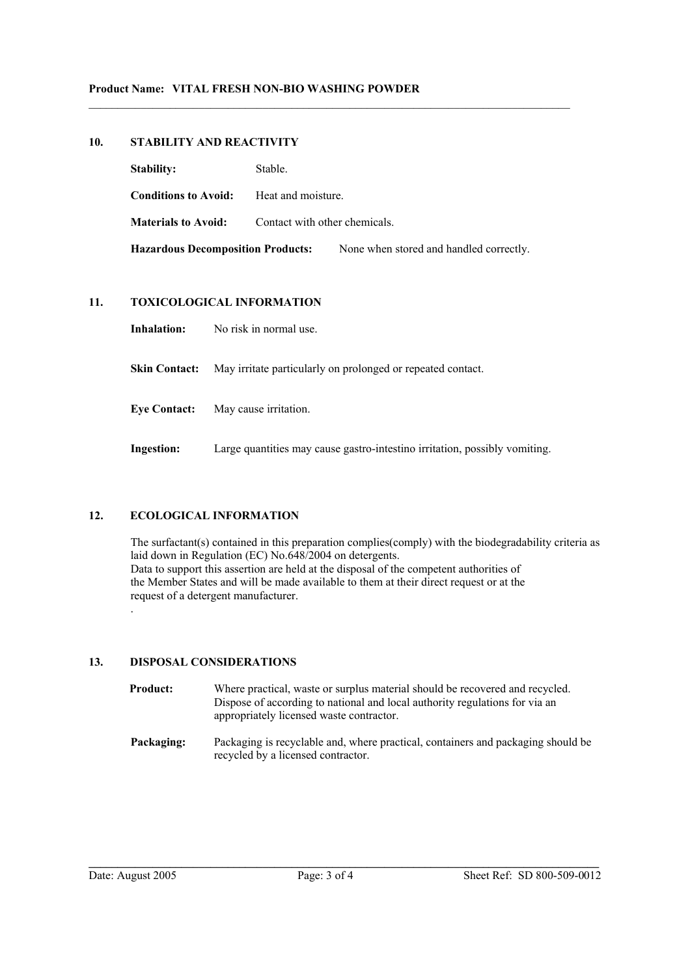# **10. STABILITY AND REACTIVITY**

| <b>Stability:</b>                        | Stable.                       |                                         |  |
|------------------------------------------|-------------------------------|-----------------------------------------|--|
| <b>Conditions to Avoid:</b>              | Heat and moisture.            |                                         |  |
| <b>Materials to Avoid:</b>               | Contact with other chemicals. |                                         |  |
| <b>Hazardous Decomposition Products:</b> |                               | None when stored and handled correctly. |  |

 $\mathcal{L}_\text{max}$  , and the contribution of the contribution of the contribution of the contribution of the contribution of the contribution of the contribution of the contribution of the contribution of the contribution of t

# **11. TOXICOLOGICAL INFORMATION**

**Inhalation:** No risk in normal use.

**Skin Contact:** May irritate particularly on prolonged or repeated contact.

**Eye Contact:** May cause irritation.

**Ingestion:** Large quantities may cause gastro-intestino irritation, possibly vomiting.

# **12. ECOLOGICAL INFORMATION**

The surfactant(s) contained in this preparation complies(comply) with the biodegradability criteria as laid down in Regulation (EC) No.648/2004 on detergents. Data to support this assertion are held at the disposal of the competent authorities of the Member States and will be made available to them at their direct request or at the request of a detergent manufacturer. .

# **13. DISPOSAL CONSIDERATIONS**

| <b>Product:</b> | Where practical, waste or surplus material should be recovered and recycled.<br>Dispose of according to national and local authority regulations for via an<br>appropriately licensed waste contractor. |
|-----------------|---------------------------------------------------------------------------------------------------------------------------------------------------------------------------------------------------------|
| Packaging:      | Packaging is recyclable and, where practical, containers and packaging should be<br>recycled by a licensed contractor.                                                                                  |

**\_\_\_\_\_\_\_\_\_\_\_\_\_\_\_\_\_\_\_\_\_\_\_\_\_\_\_\_\_\_\_\_\_\_\_\_\_\_\_\_\_\_\_\_\_\_\_\_\_\_\_\_\_\_\_\_\_\_\_\_\_\_\_\_\_\_\_\_\_\_\_\_\_\_\_\_\_\_\_\_\_\_\_\_\_\_\_\_**